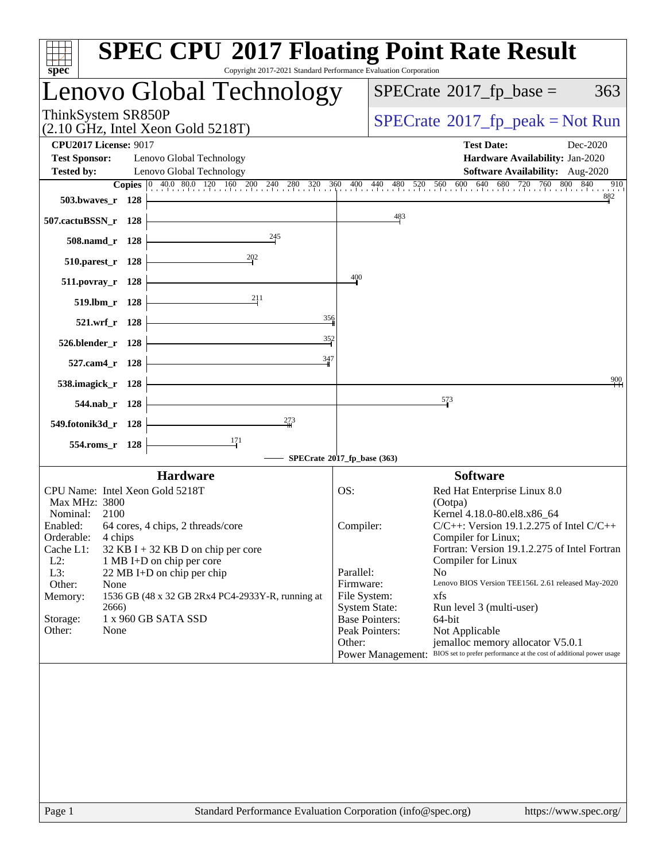| Copyright 2017-2021 Standard Performance Evaluation Corporation<br>$s\overline{p}\overline{e}\overline{c}$                                                                          | <b>SPEC CPU®2017 Floating Point Rate Result</b>                                                                                                                                                             |
|-------------------------------------------------------------------------------------------------------------------------------------------------------------------------------------|-------------------------------------------------------------------------------------------------------------------------------------------------------------------------------------------------------------|
| Lenovo Global Technology                                                                                                                                                            | $SPECrate^{\circ}2017$ _fp_base =<br>363                                                                                                                                                                    |
| ThinkSystem SR850P<br>$(2.10 \text{ GHz}, \text{Intel Xeon Gold } 5218 \text{T})$                                                                                                   | $SPECrate^{\circ}2017$ _fp_peak = Not Run                                                                                                                                                                   |
| <b>CPU2017 License: 9017</b><br><b>Test Sponsor:</b><br>Lenovo Global Technology<br><b>Tested by:</b><br>Lenovo Global Technology                                                   | <b>Test Date:</b><br>Dec-2020<br>Hardware Availability: Jan-2020<br>Software Availability: Aug-2020                                                                                                         |
| 503.bwayes_r 128                                                                                                                                                                    | <b>Copies</b> 0 40.0 80.0 120 160 200 240 280 320 360 400 440 480 520 560 600 640 680 720 760 800 840<br>910<br>882                                                                                         |
| 507.cactuBSSN_r 128                                                                                                                                                                 | 483                                                                                                                                                                                                         |
| 245<br>508.namd_r 128                                                                                                                                                               |                                                                                                                                                                                                             |
| 202<br>510.parest_r 128                                                                                                                                                             |                                                                                                                                                                                                             |
| $511. povray_r$ 128                                                                                                                                                                 | 400                                                                                                                                                                                                         |
| 211<br>519.lbm_r 128<br>356                                                                                                                                                         |                                                                                                                                                                                                             |
| 521.wrf_r 128<br>$\frac{352}{2}$                                                                                                                                                    |                                                                                                                                                                                                             |
| 526.blender_r 128<br>347                                                                                                                                                            |                                                                                                                                                                                                             |
| 527.cam4_r 128                                                                                                                                                                      | 900                                                                                                                                                                                                         |
| 538.imagick_r 128<br>544.nab r 128                                                                                                                                                  | 573                                                                                                                                                                                                         |
| 273<br>549.fotonik3d_r 128                                                                                                                                                          |                                                                                                                                                                                                             |
| 171<br>554.roms_r 128                                                                                                                                                               |                                                                                                                                                                                                             |
|                                                                                                                                                                                     | SPECrate®2017_fp_base (363)                                                                                                                                                                                 |
| <b>Hardware</b><br>CPU Name: Intel Xeon Gold 5218T                                                                                                                                  | <b>Software</b>                                                                                                                                                                                             |
| Max MHz: 3800                                                                                                                                                                       | Red Hat Enterprise Linux 8.0<br>OS:<br>(Ootpa)                                                                                                                                                              |
| Nominal:<br>2100<br>Enabled: 64 cores, 4 chips, 2 threads/core<br>Orderable:<br>4 chips<br>Cache L1:<br>$32$ KB I + 32 KB D on chip per core<br>$L2$ :<br>1 MB I+D on chip per core | Kernel 4.18.0-80.el8.x86_64<br>$C/C++$ : Version 19.1.2.275 of Intel $C/C++$<br>Compiler:<br>Compiler for Linux;<br>Fortran: Version 19.1.2.275 of Intel Fortran<br>Compiler for Linux                      |
| L3:<br>22 MB I+D on chip per chip<br>Other:<br>None<br>1536 GB (48 x 32 GB 2Rx4 PC4-2933Y-R, running at<br>Memory:<br>2666)                                                         | Parallel:<br>N <sub>0</sub><br>Firmware:<br>Lenovo BIOS Version TEE156L 2.61 released May-2020<br>File System:<br>xfs<br><b>System State:</b><br>Run level 3 (multi-user)                                   |
| 1 x 960 GB SATA SSD<br>Storage:<br>Other:<br>None                                                                                                                                   | <b>Base Pointers:</b><br>64-bit<br>Peak Pointers:<br>Not Applicable<br>Other:<br>jemalloc memory allocator V5.0.1<br>Power Management: BIOS set to prefer performance at the cost of additional power usage |
|                                                                                                                                                                                     |                                                                                                                                                                                                             |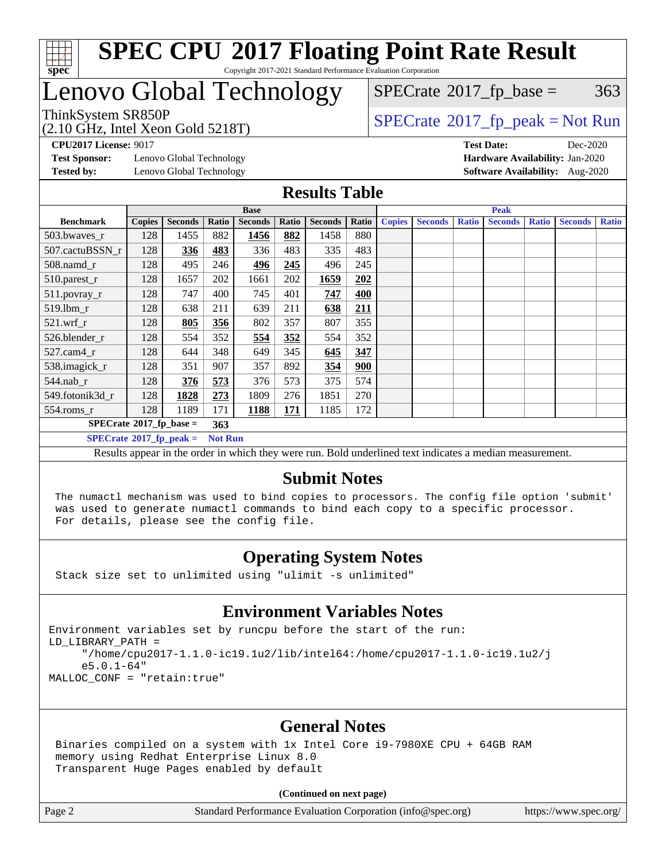

## Lenovo Global Technology

(2.10 GHz, Intel Xeon Gold 5218T)

 $SPECTate$ <sup>®</sup>[2017\\_fp\\_base =](http://www.spec.org/auto/cpu2017/Docs/result-fields.html#SPECrate2017fpbase) 363

### ThinkSystem SR850P<br>  $\begin{array}{c}\n\text{7.10 GHz} \quad \text{Total Year} \quad \text{Cold} \quad \text{5218} \\
\text{SPECTate} \quad \text{2017\_fp\_peak} = \text{Not Run}\n\end{array}$

**[CPU2017 License:](http://www.spec.org/auto/cpu2017/Docs/result-fields.html#CPU2017License)** 9017 **[Test Date:](http://www.spec.org/auto/cpu2017/Docs/result-fields.html#TestDate)** Dec-2020

**[Test Sponsor:](http://www.spec.org/auto/cpu2017/Docs/result-fields.html#TestSponsor)** Lenovo Global Technology **[Hardware Availability:](http://www.spec.org/auto/cpu2017/Docs/result-fields.html#HardwareAvailability)** Jan-2020 **[Tested by:](http://www.spec.org/auto/cpu2017/Docs/result-fields.html#Testedby)** Lenovo Global Technology **[Software Availability:](http://www.spec.org/auto/cpu2017/Docs/result-fields.html#SoftwareAvailability)** Aug-2020

#### **[Results Table](http://www.spec.org/auto/cpu2017/Docs/result-fields.html#ResultsTable)**

|                                   |                                                    |                |       | <b>Base</b>    |            |                |       |               |                |              | <b>Peak</b>    |              |                |              |
|-----------------------------------|----------------------------------------------------|----------------|-------|----------------|------------|----------------|-------|---------------|----------------|--------------|----------------|--------------|----------------|--------------|
| <b>Benchmark</b>                  | <b>Copies</b>                                      | <b>Seconds</b> | Ratio | <b>Seconds</b> | Ratio      | <b>Seconds</b> | Ratio | <b>Copies</b> | <b>Seconds</b> | <b>Ratio</b> | <b>Seconds</b> | <b>Ratio</b> | <b>Seconds</b> | <b>Ratio</b> |
| 503.bwayes_r                      | 128                                                | 1455           | 882   | 1456           | 882        | 1458           | 880   |               |                |              |                |              |                |              |
| 507.cactuBSSN r                   | 128                                                | 336            | 483   | 336            | 483        | 335            | 483   |               |                |              |                |              |                |              |
| $508$ .namd $r$                   | 128                                                | 495            | 246   | 496            | 245        | 496            | 245   |               |                |              |                |              |                |              |
| $510$ .parest_r                   | 128                                                | 1657           | 202   | 1661           | 202        | 1659           | 202   |               |                |              |                |              |                |              |
| 511.povray_r                      | 128                                                | 747            | 400   | 745            | 401        | 747            | 400   |               |                |              |                |              |                |              |
| 519.1bm r                         | 128                                                | 638            | 211   | 639            | 211        | 638            | 211   |               |                |              |                |              |                |              |
| $521$ .wrf r                      | 128                                                | 805            | 356   | 802            | 357        | 807            | 355   |               |                |              |                |              |                |              |
| 526.blender r                     | 128                                                | 554            | 352   | 554            | 352        | 554            | 352   |               |                |              |                |              |                |              |
| $527$ .cam $4r$                   | 128                                                | 644            | 348   | 649            | 345        | 645            | 347   |               |                |              |                |              |                |              |
| 538.imagick_r                     | 128                                                | 351            | 907   | 357            | 892        | 354            | 900   |               |                |              |                |              |                |              |
| 544.nab_r                         | 128                                                | 376            | 573   | 376            | 573        | 375            | 574   |               |                |              |                |              |                |              |
| 549.fotonik3d r                   | 128                                                | 1828           | 273   | 1809           | 276        | 1851           | 270   |               |                |              |                |              |                |              |
| $554$ .roms_r                     | 128                                                | 1189           | 171   | 1188           | <u>171</u> | 1185           | 172   |               |                |              |                |              |                |              |
| $SPECrate^{\circ}2017$ _fp_base = |                                                    |                |       |                |            |                |       |               |                |              |                |              |                |              |
|                                   | $SPECrate^{\circ}2017$ fp peak =<br><b>Not Run</b> |                |       |                |            |                |       |               |                |              |                |              |                |              |

Results appear in the [order in which they were run](http://www.spec.org/auto/cpu2017/Docs/result-fields.html#RunOrder). Bold underlined text [indicates a median measurement](http://www.spec.org/auto/cpu2017/Docs/result-fields.html#Median).

### **[Submit Notes](http://www.spec.org/auto/cpu2017/Docs/result-fields.html#SubmitNotes)**

 The numactl mechanism was used to bind copies to processors. The config file option 'submit' was used to generate numactl commands to bind each copy to a specific processor. For details, please see the config file.

### **[Operating System Notes](http://www.spec.org/auto/cpu2017/Docs/result-fields.html#OperatingSystemNotes)**

Stack size set to unlimited using "ulimit -s unlimited"

### **[Environment Variables Notes](http://www.spec.org/auto/cpu2017/Docs/result-fields.html#EnvironmentVariablesNotes)**

Environment variables set by runcpu before the start of the run: LD\_LIBRARY\_PATH = "/home/cpu2017-1.1.0-ic19.1u2/lib/intel64:/home/cpu2017-1.1.0-ic19.1u2/j e5.0.1-64" MALLOC\_CONF = "retain:true"

### **[General Notes](http://www.spec.org/auto/cpu2017/Docs/result-fields.html#GeneralNotes)**

 Binaries compiled on a system with 1x Intel Core i9-7980XE CPU + 64GB RAM memory using Redhat Enterprise Linux 8.0 Transparent Huge Pages enabled by default

#### **(Continued on next page)**

Page 2 Standard Performance Evaluation Corporation [\(info@spec.org\)](mailto:info@spec.org) <https://www.spec.org/>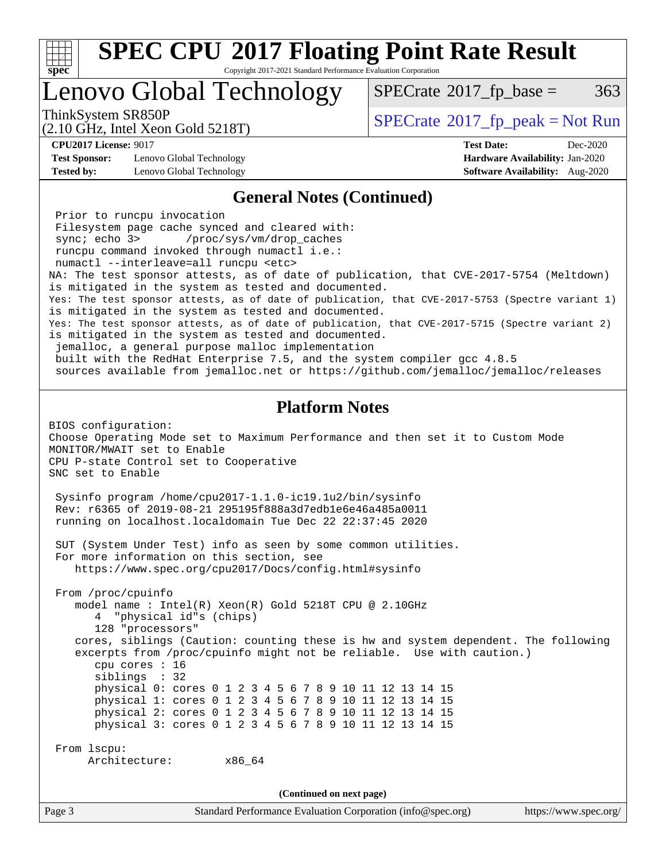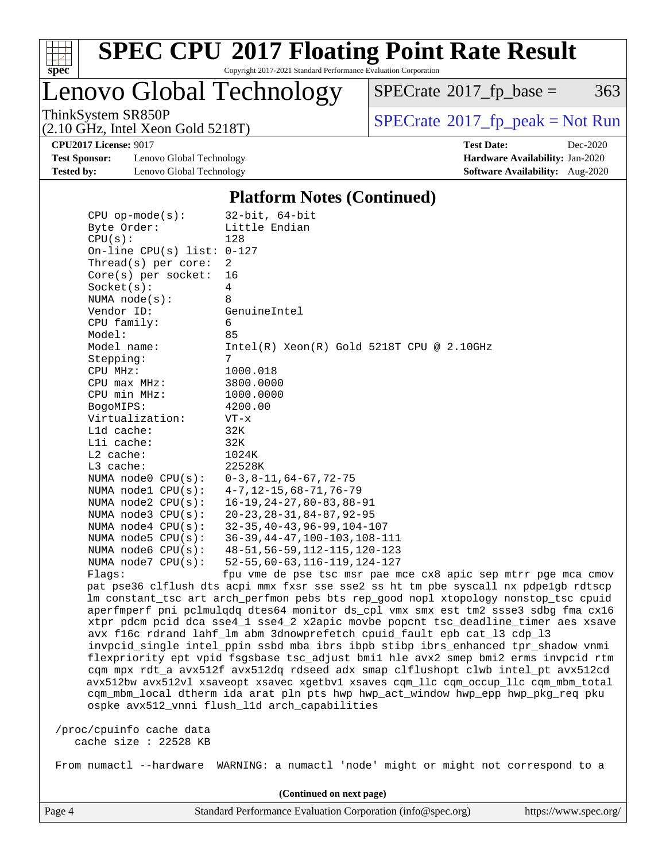

# **[SPEC CPU](http://www.spec.org/auto/cpu2017/Docs/result-fields.html#SPECCPU2017FloatingPointRateResult)[2017 Floating Point Rate Result](http://www.spec.org/auto/cpu2017/Docs/result-fields.html#SPECCPU2017FloatingPointRateResult)**

Copyright 2017-2021 Standard Performance Evaluation Corporation

Lenovo Global Technology

 $SPECTate@2017_fp\_base = 363$ 

(2.10 GHz, Intel Xeon Gold 5218T)

ThinkSystem SR850P<br>  $(2.10 \text{ GHz})$  Intel Xeon Gold 5218T)

**[Test Sponsor:](http://www.spec.org/auto/cpu2017/Docs/result-fields.html#TestSponsor)** Lenovo Global Technology **[Hardware Availability:](http://www.spec.org/auto/cpu2017/Docs/result-fields.html#HardwareAvailability)** Jan-2020 **[Tested by:](http://www.spec.org/auto/cpu2017/Docs/result-fields.html#Testedby)** Lenovo Global Technology **[Software Availability:](http://www.spec.org/auto/cpu2017/Docs/result-fields.html#SoftwareAvailability)** Aug-2020

**[CPU2017 License:](http://www.spec.org/auto/cpu2017/Docs/result-fields.html#CPU2017License)** 9017 **[Test Date:](http://www.spec.org/auto/cpu2017/Docs/result-fields.html#TestDate)** Dec-2020

#### **[Platform Notes \(Continued\)](http://www.spec.org/auto/cpu2017/Docs/result-fields.html#PlatformNotes)**

| $CPU$ op-mode(s):            | $32$ -bit, $64$ -bit                                                                 |
|------------------------------|--------------------------------------------------------------------------------------|
| Byte Order:                  | Little Endian                                                                        |
| CPU(s):                      | 128                                                                                  |
| On-line CPU(s) list: $0-127$ |                                                                                      |
| Thread( $s$ ) per core:      | 2                                                                                    |
| $Core(s)$ per socket:        | 16                                                                                   |
| Socket(s):                   | 4                                                                                    |
| NUMA $node(s):$              | 8                                                                                    |
| Vendor ID:                   | GenuineIntel                                                                         |
| CPU family:                  | 6                                                                                    |
| Model:                       | 85                                                                                   |
| Model name:                  | $Intel(R) Xeon(R) Gold 5218T CPU @ 2.10GHz$                                          |
| Stepping:                    | 7                                                                                    |
| CPU MHz:                     | 1000.018                                                                             |
| CPU max MHz:                 | 3800.0000                                                                            |
| CPU min MHz:                 | 1000.0000                                                                            |
| BogoMIPS:                    | 4200.00                                                                              |
| Virtualization:              | VT-x                                                                                 |
| L1d cache:                   | 32K                                                                                  |
| Lli cache:                   | 32K                                                                                  |
| L2 cache:                    | 1024K                                                                                |
| L3 cache:                    | 22528K                                                                               |
| NUMA node0 CPU(s):           | $0-3, 8-11, 64-67, 72-75$                                                            |
| NUMA nodel CPU(s):           | $4 - 7$ , 12-15, 68-71, 76-79                                                        |
| NUMA node2 CPU(s):           | $16 - 19, 24 - 27, 80 - 83, 88 - 91$                                                 |
| NUMA $node3$ $CPU(s):$       | $20 - 23, 28 - 31, 84 - 87, 92 - 95$                                                 |
| NUMA $node4$ $CPU(s):$       | $32 - 35, 40 - 43, 96 - 99, 104 - 107$                                               |
| NUMA $node5$ $CPU(s):$       | $36-39, 44-47, 100-103, 108-111$                                                     |
| NUMA node6 $CPU(s):$         | $48 - 51, 56 - 59, 112 - 115, 120 - 123$                                             |
| NUMA node7 CPU(s):           | $52 - 55, 60 - 63, 116 - 119, 124 - 127$                                             |
| Flagg:                       | fpu vme de pse tsc msr pae mce cx8 apic sep mtrr pge mca cmov                        |
|                              | pat pse36 clflush dts acpi mmx fxsr sse sse2 ss ht tm pbe syscall nx pdpelgb rdtscp  |
|                              | lm constant_tsc art arch_perfmon pebs bts rep_good nopl xtopology nonstop_tsc cpuid  |
|                              | aperfmperf pni pclmulqdq dtes64 monitor ds_cpl vmx smx est tm2 ssse3 sdbg fma cx16   |
|                              | xtpr pdcm pcid dca sse4_1 sse4_2 x2apic movbe popcnt tsc_deadline_timer aes xsave    |
|                              | avx f16c rdrand lahf_lm abm 3dnowprefetch cpuid_fault epb cat_13 cdp_13              |
|                              | invpcid_single intel_ppin ssbd mba ibrs ibpb stibp ibrs_enhanced tpr_shadow vnmi     |
|                              | flexpriority ept vpid fsgsbase tsc_adjust bmil hle avx2 smep bmi2 erms invpcid rtm   |
|                              | cqm mpx rdt_a avx512f avx512dq rdseed adx smap clflushopt clwb intel_pt avx512cd     |
|                              | avx512bw avx512vl xsaveopt xsavec xgetbvl xsaves cqm_llc cqm_occup_llc cqm_mbm_total |
|                              |                                                                                      |
|                              | cqm_mbm_local dtherm ida arat pln pts hwp hwp_act_window hwp_epp hwp_pkg_req pku     |
|                              | ospke avx512_vnni flush_l1d arch_capabilities                                        |
| /proc/cpuinfo cache data     |                                                                                      |
| cache size : 22528 KB        |                                                                                      |
|                              |                                                                                      |
| From numactl --hardware      | WARNING: a numactl 'node' might or might not correspond to a                         |
|                              |                                                                                      |

**(Continued on next page)**

Page 4 Standard Performance Evaluation Corporation [\(info@spec.org\)](mailto:info@spec.org) <https://www.spec.org/>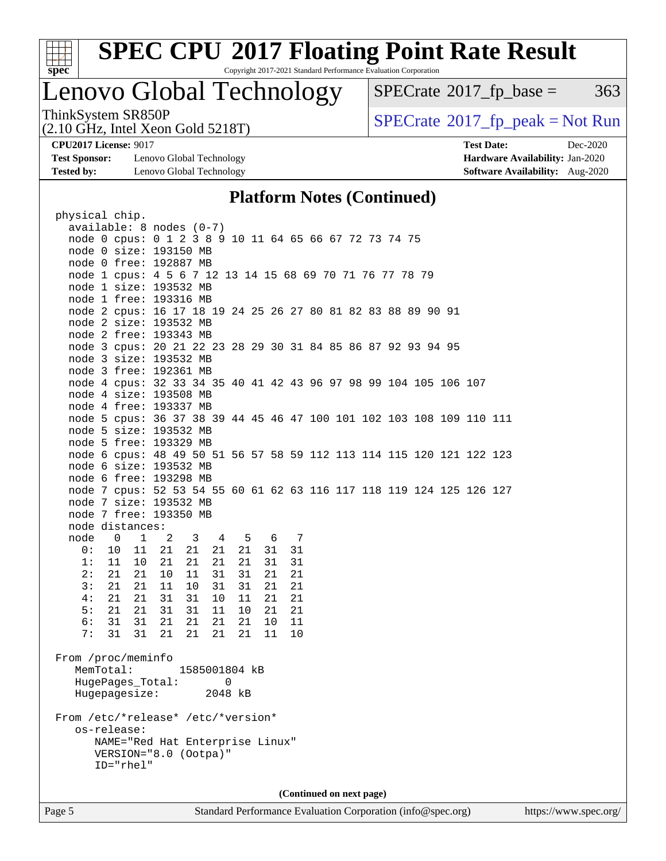

# **[SPEC CPU](http://www.spec.org/auto/cpu2017/Docs/result-fields.html#SPECCPU2017FloatingPointRateResult)[2017 Floating Point Rate Result](http://www.spec.org/auto/cpu2017/Docs/result-fields.html#SPECCPU2017FloatingPointRateResult)**

Copyright 2017-2021 Standard Performance Evaluation Corporation

### Lenovo Global Technology

 $SPECTate@2017_fp\_base = 363$ 

(2.10 GHz, Intel Xeon Gold 5218T)

ThinkSystem SR850P<br>  $(2.10 \text{ GHz})$  Intel Xeon Gold 5218T)

**[Test Sponsor:](http://www.spec.org/auto/cpu2017/Docs/result-fields.html#TestSponsor)** Lenovo Global Technology **[Hardware Availability:](http://www.spec.org/auto/cpu2017/Docs/result-fields.html#HardwareAvailability)** Jan-2020 **[Tested by:](http://www.spec.org/auto/cpu2017/Docs/result-fields.html#Testedby)** Lenovo Global Technology **[Software Availability:](http://www.spec.org/auto/cpu2017/Docs/result-fields.html#SoftwareAvailability)** Aug-2020

**[CPU2017 License:](http://www.spec.org/auto/cpu2017/Docs/result-fields.html#CPU2017License)** 9017 **[Test Date:](http://www.spec.org/auto/cpu2017/Docs/result-fields.html#TestDate)** Dec-2020

### **[Platform Notes \(Continued\)](http://www.spec.org/auto/cpu2017/Docs/result-fields.html#PlatformNotes)**

| physical chip.                                                                                           |                          |                                                                      |
|----------------------------------------------------------------------------------------------------------|--------------------------|----------------------------------------------------------------------|
| available: 8 nodes (0-7)                                                                                 |                          |                                                                      |
|                                                                                                          |                          | node 0 cpus: 0 1 2 3 8 9 10 11 64 65 66 67 72 73 74 75               |
| node 0 size: 193150 MB                                                                                   |                          |                                                                      |
| node 0 free: 192887 MB                                                                                   |                          |                                                                      |
|                                                                                                          |                          | node 1 cpus: 4 5 6 7 12 13 14 15 68 69 70 71 76 77 78 79             |
| node 1 size: 193532 MB                                                                                   |                          |                                                                      |
| node 1 free: 193316 MB                                                                                   |                          |                                                                      |
|                                                                                                          |                          | node 2 cpus: 16 17 18 19 24 25 26 27 80 81 82 83 88 89 90 91         |
| node 2 size: 193532 MB                                                                                   |                          |                                                                      |
| node 2 free: 193343 MB                                                                                   |                          |                                                                      |
|                                                                                                          |                          | node 3 cpus: 20 21 22 23 28 29 30 31 84 85 86 87 92 93 94 95         |
| node 3 size: 193532 MB                                                                                   |                          |                                                                      |
| node 3 free: 192361 MB                                                                                   |                          |                                                                      |
|                                                                                                          |                          | node 4 cpus: 32 33 34 35 40 41 42 43 96 97 98 99 104 105 106 107     |
| node 4 size: 193508 MB                                                                                   |                          |                                                                      |
| node 4 free: 193337 MB                                                                                   |                          |                                                                      |
|                                                                                                          |                          | node 5 cpus: 36 37 38 39 44 45 46 47 100 101 102 103 108 109 110 111 |
| node 5 size: 193532 MB                                                                                   |                          |                                                                      |
| node 5 free: 193329 MB                                                                                   |                          |                                                                      |
|                                                                                                          |                          | node 6 cpus: 48 49 50 51 56 57 58 59 112 113 114 115 120 121 122 123 |
| node 6 size: 193532 MB                                                                                   |                          |                                                                      |
| node 6 free: 193298 MB                                                                                   |                          |                                                                      |
|                                                                                                          |                          | node 7 cpus: 52 53 54 55 60 61 62 63 116 117 118 119 124 125 126 127 |
| node 7 size: 193532 MB                                                                                   |                          |                                                                      |
| node 7 free: 193350 MB                                                                                   |                          |                                                                      |
| node distances:                                                                                          |                          |                                                                      |
| node<br>$\overline{\mathbf{0}}$<br>$\mathbf{1}$<br>$\overline{\phantom{a}}^2$<br>$\overline{\mathbf{3}}$ | 5 6 7<br>$4\overline{4}$ |                                                                      |
| 0:<br>10<br>11<br>21<br>21                                                                               | 21<br>31<br>21           | 31                                                                   |
| 21<br>21<br>1:<br>11<br>10                                                                               | 31<br>21<br>21           | 31                                                                   |
| 2:<br>21<br>21<br>10<br>11                                                                               | 31<br>31<br>21           | 21                                                                   |
| 3:<br>21<br>21<br>11<br>10                                                                               | 31<br>21<br>31           | 21                                                                   |
| 21<br>31<br>31<br>4:<br>21                                                                               | 21<br>10<br>11           | 21                                                                   |
| 5:<br>21<br>21<br>31<br>31                                                                               | 11<br>10<br>21           | 21                                                                   |
| 31<br>6 :<br>31<br>21<br>21                                                                              | 21<br>10<br>21           | 11                                                                   |
| 31<br>31<br>21<br>21<br>7:                                                                               | 21<br>21<br>11           | 10                                                                   |
|                                                                                                          |                          |                                                                      |
| From /proc/meminfo                                                                                       |                          |                                                                      |
| MemTotal:                                                                                                | 1585001804 kB            |                                                                      |
| HugePages_Total:                                                                                         |                          |                                                                      |
|                                                                                                          | 0                        |                                                                      |
| Hugepagesize:                                                                                            | 2048 kB                  |                                                                      |
|                                                                                                          |                          |                                                                      |
| From /etc/*release* /etc/*version*                                                                       |                          |                                                                      |
| os-release:                                                                                              |                          |                                                                      |
| NAME="Red Hat Enterprise Linux"                                                                          |                          |                                                                      |
| VERSION="8.0 (Ootpa)"<br>$ID="rhe1"$                                                                     |                          |                                                                      |
|                                                                                                          |                          |                                                                      |
|                                                                                                          |                          |                                                                      |
|                                                                                                          |                          | (Continued on next page)                                             |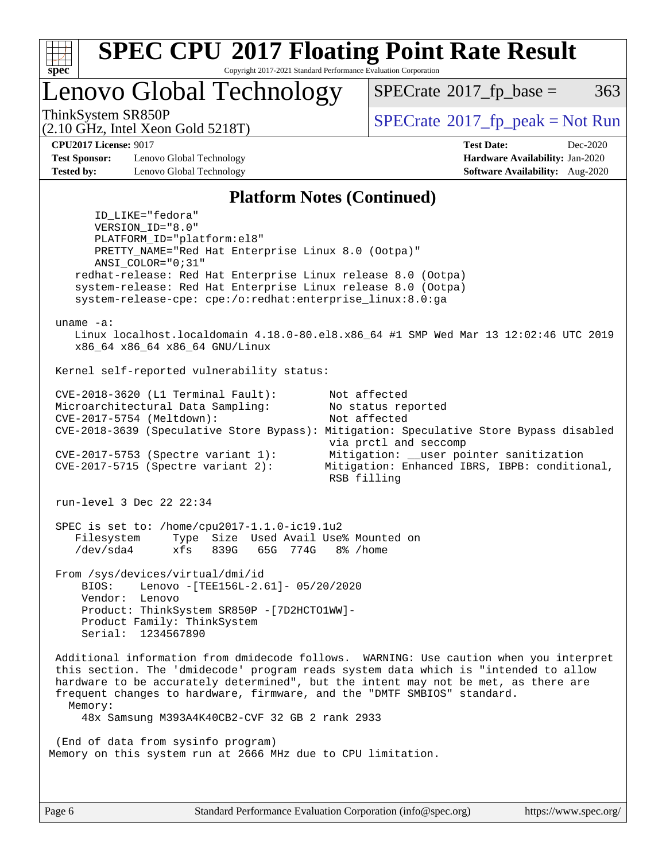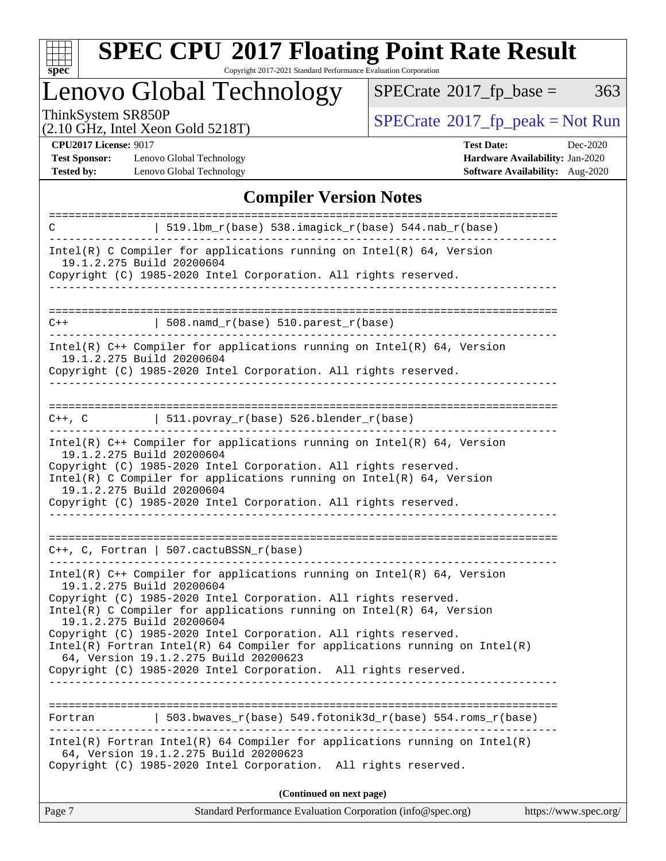

# **[SPEC CPU](http://www.spec.org/auto/cpu2017/Docs/result-fields.html#SPECCPU2017FloatingPointRateResult)[2017 Floating Point Rate Result](http://www.spec.org/auto/cpu2017/Docs/result-fields.html#SPECCPU2017FloatingPointRateResult)**

Copyright 2017-2021 Standard Performance Evaluation Corporation

Lenovo Global Technology

 $SPECrate@2017_fp\_base = 363$  $SPECrate@2017_fp\_base = 363$ 

(2.10 GHz, Intel Xeon Gold 5218T)

ThinkSystem SR850P<br>  $(2.10 \text{ GHz})$  Intel Xeon Gold 5218T)

**[Test Sponsor:](http://www.spec.org/auto/cpu2017/Docs/result-fields.html#TestSponsor)** Lenovo Global Technology **[Hardware Availability:](http://www.spec.org/auto/cpu2017/Docs/result-fields.html#HardwareAvailability)** Jan-2020 **[Tested by:](http://www.spec.org/auto/cpu2017/Docs/result-fields.html#Testedby)** Lenovo Global Technology **[Software Availability:](http://www.spec.org/auto/cpu2017/Docs/result-fields.html#SoftwareAvailability)** Aug-2020

**[CPU2017 License:](http://www.spec.org/auto/cpu2017/Docs/result-fields.html#CPU2017License)** 9017 **[Test Date:](http://www.spec.org/auto/cpu2017/Docs/result-fields.html#TestDate)** Dec-2020

### **[Compiler Version Notes](http://www.spec.org/auto/cpu2017/Docs/result-fields.html#CompilerVersionNotes)**

| C                                             | 519.1bm_r(base) 538.imagick_r(base) 544.nab_r(base)                                                                                                                                                                     |
|-----------------------------------------------|-------------------------------------------------------------------------------------------------------------------------------------------------------------------------------------------------------------------------|
| 19.1.2.275 Build 20200604                     | $Intel(R)$ C Compiler for applications running on $Intel(R)$ 64, Version                                                                                                                                                |
|                                               | Copyright (C) 1985-2020 Intel Corporation. All rights reserved.                                                                                                                                                         |
| $C++$                                         | $508.n$ amd_r(base) $510.parest_r(base)$                                                                                                                                                                                |
|                                               |                                                                                                                                                                                                                         |
| 19.1.2.275 Build 20200604                     | Intel(R) C++ Compiler for applications running on Intel(R) 64, Version<br>Copyright (C) 1985-2020 Intel Corporation. All rights reserved.                                                                               |
|                                               |                                                                                                                                                                                                                         |
| $C++$ , $C$                                   | $\vert$ 511.povray_r(base) 526.blender_r(base)                                                                                                                                                                          |
| 19.1.2.275 Build 20200604                     | Intel(R) $C++$ Compiler for applications running on Intel(R) 64, Version<br>Copyright (C) 1985-2020 Intel Corporation. All rights reserved.<br>$Intel(R)$ C Compiler for applications running on $Intel(R)$ 64, Version |
| 19.1.2.275 Build 20200604                     | Copyright (C) 1985-2020 Intel Corporation. All rights reserved.                                                                                                                                                         |
|                                               |                                                                                                                                                                                                                         |
| $C_{++}$ , C, Fortran   507.cactuBSSN_r(base) |                                                                                                                                                                                                                         |
| 19.1.2.275 Build 20200604                     | Intel(R) $C++$ Compiler for applications running on Intel(R) 64, Version<br>Copyright (C) 1985-2020 Intel Corporation. All rights reserved.<br>Intel(R) C Compiler for applications running on $Intel(R) 64$ , Version  |
| 19.1.2.275 Build 20200604                     | Copyright (C) 1985-2020 Intel Corporation. All rights reserved.<br>$Intel(R)$ Fortran Intel(R) 64 Compiler for applications running on Intel(R)                                                                         |
|                                               | 64, Version 19.1.2.275 Build 20200623<br>Copyright (C) 1985-2020 Intel Corporation. All rights reserved.                                                                                                                |
|                                               |                                                                                                                                                                                                                         |
| Fortran                                       | 503.bwaves_r(base) 549.fotonik3d_r(base) 554.roms_r(base)                                                                                                                                                               |
|                                               | $Intel(R)$ Fortran Intel(R) 64 Compiler for applications running on Intel(R)<br>64, Version 19.1.2.275 Build 20200623<br>Copyright (C) 1985-2020 Intel Corporation. All rights reserved.                                |
|                                               |                                                                                                                                                                                                                         |
| Page 7                                        | (Continued on next page)<br>Standard Performance Evaluation Corporation (info@spec.org)<br>https://www.spec.org/                                                                                                        |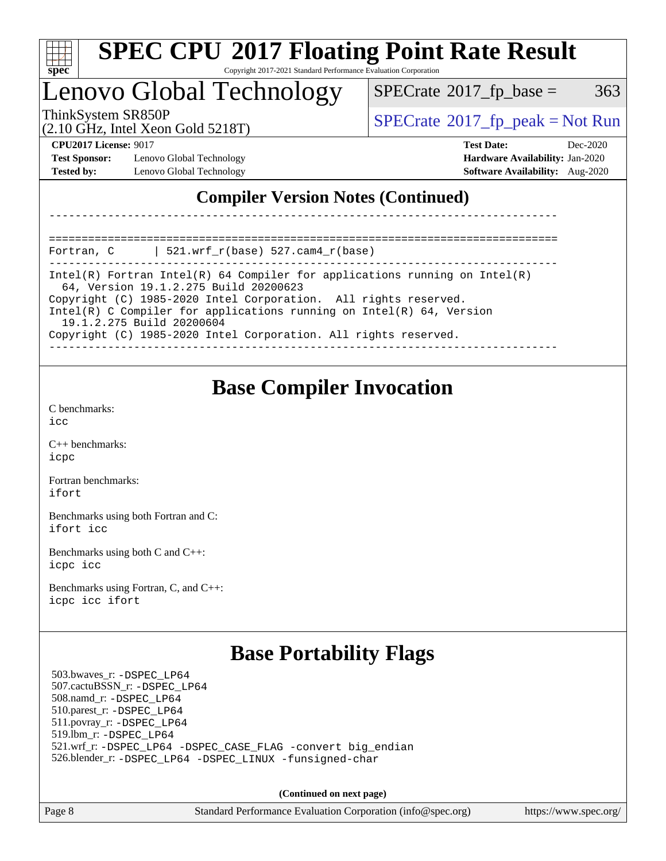| s<br>ne<br>I<br>Ľ |  |  |  |  |
|-------------------|--|--|--|--|

### Lenovo Global Technology

 $SPECTate$ <sup>®</sup>[2017\\_fp\\_base =](http://www.spec.org/auto/cpu2017/Docs/result-fields.html#SPECrate2017fpbase) 363

(2.10 GHz, Intel Xeon Gold 5218T)

 $SPECTate$ <sup>®</sup>[2017\\_fp\\_peak = N](http://www.spec.org/auto/cpu2017/Docs/result-fields.html#SPECrate2017fppeak)ot Run

**[Test Sponsor:](http://www.spec.org/auto/cpu2017/Docs/result-fields.html#TestSponsor)** Lenovo Global Technology **[Hardware Availability:](http://www.spec.org/auto/cpu2017/Docs/result-fields.html#HardwareAvailability)** Jan-2020 **[Tested by:](http://www.spec.org/auto/cpu2017/Docs/result-fields.html#Testedby)** Lenovo Global Technology **[Software Availability:](http://www.spec.org/auto/cpu2017/Docs/result-fields.html#SoftwareAvailability)** Aug-2020

**[CPU2017 License:](http://www.spec.org/auto/cpu2017/Docs/result-fields.html#CPU2017License)** 9017 **[Test Date:](http://www.spec.org/auto/cpu2017/Docs/result-fields.html#TestDate)** Dec-2020

### **[Compiler Version Notes \(Continued\)](http://www.spec.org/auto/cpu2017/Docs/result-fields.html#CompilerVersionNotes)**

============================================================================== Fortran, C | 521.wrf\_r(base) 527.cam4\_r(base)

------------------------------------------------------------------------------ Intel(R) Fortran Intel(R) 64 Compiler for applications running on Intel(R) 64, Version 19.1.2.275 Build 20200623 Copyright (C) 1985-2020 Intel Corporation. All rights reserved. Intel(R) C Compiler for applications running on Intel(R) 64, Version 19.1.2.275 Build 20200604

------------------------------------------------------------------------------

Copyright (C) 1985-2020 Intel Corporation. All rights reserved.

------------------------------------------------------------------------------

### **[Base Compiler Invocation](http://www.spec.org/auto/cpu2017/Docs/result-fields.html#BaseCompilerInvocation)**

[C benchmarks](http://www.spec.org/auto/cpu2017/Docs/result-fields.html#Cbenchmarks): [icc](http://www.spec.org/cpu2017/results/res2021q1/cpu2017-20210104-24670.flags.html#user_CCbase_intel_icc_66fc1ee009f7361af1fbd72ca7dcefbb700085f36577c54f309893dd4ec40d12360134090235512931783d35fd58c0460139e722d5067c5574d8eaf2b3e37e92)

[C++ benchmarks:](http://www.spec.org/auto/cpu2017/Docs/result-fields.html#CXXbenchmarks) [icpc](http://www.spec.org/cpu2017/results/res2021q1/cpu2017-20210104-24670.flags.html#user_CXXbase_intel_icpc_c510b6838c7f56d33e37e94d029a35b4a7bccf4766a728ee175e80a419847e808290a9b78be685c44ab727ea267ec2f070ec5dc83b407c0218cded6866a35d07)

[Fortran benchmarks](http://www.spec.org/auto/cpu2017/Docs/result-fields.html#Fortranbenchmarks): [ifort](http://www.spec.org/cpu2017/results/res2021q1/cpu2017-20210104-24670.flags.html#user_FCbase_intel_ifort_8111460550e3ca792625aed983ce982f94888b8b503583aa7ba2b8303487b4d8a21a13e7191a45c5fd58ff318f48f9492884d4413fa793fd88dd292cad7027ca)

[Benchmarks using both Fortran and C](http://www.spec.org/auto/cpu2017/Docs/result-fields.html#BenchmarksusingbothFortranandC): [ifort](http://www.spec.org/cpu2017/results/res2021q1/cpu2017-20210104-24670.flags.html#user_CC_FCbase_intel_ifort_8111460550e3ca792625aed983ce982f94888b8b503583aa7ba2b8303487b4d8a21a13e7191a45c5fd58ff318f48f9492884d4413fa793fd88dd292cad7027ca) [icc](http://www.spec.org/cpu2017/results/res2021q1/cpu2017-20210104-24670.flags.html#user_CC_FCbase_intel_icc_66fc1ee009f7361af1fbd72ca7dcefbb700085f36577c54f309893dd4ec40d12360134090235512931783d35fd58c0460139e722d5067c5574d8eaf2b3e37e92)

[Benchmarks using both C and C++](http://www.spec.org/auto/cpu2017/Docs/result-fields.html#BenchmarksusingbothCandCXX): [icpc](http://www.spec.org/cpu2017/results/res2021q1/cpu2017-20210104-24670.flags.html#user_CC_CXXbase_intel_icpc_c510b6838c7f56d33e37e94d029a35b4a7bccf4766a728ee175e80a419847e808290a9b78be685c44ab727ea267ec2f070ec5dc83b407c0218cded6866a35d07) [icc](http://www.spec.org/cpu2017/results/res2021q1/cpu2017-20210104-24670.flags.html#user_CC_CXXbase_intel_icc_66fc1ee009f7361af1fbd72ca7dcefbb700085f36577c54f309893dd4ec40d12360134090235512931783d35fd58c0460139e722d5067c5574d8eaf2b3e37e92)

[Benchmarks using Fortran, C, and C++:](http://www.spec.org/auto/cpu2017/Docs/result-fields.html#BenchmarksusingFortranCandCXX) [icpc](http://www.spec.org/cpu2017/results/res2021q1/cpu2017-20210104-24670.flags.html#user_CC_CXX_FCbase_intel_icpc_c510b6838c7f56d33e37e94d029a35b4a7bccf4766a728ee175e80a419847e808290a9b78be685c44ab727ea267ec2f070ec5dc83b407c0218cded6866a35d07) [icc](http://www.spec.org/cpu2017/results/res2021q1/cpu2017-20210104-24670.flags.html#user_CC_CXX_FCbase_intel_icc_66fc1ee009f7361af1fbd72ca7dcefbb700085f36577c54f309893dd4ec40d12360134090235512931783d35fd58c0460139e722d5067c5574d8eaf2b3e37e92) [ifort](http://www.spec.org/cpu2017/results/res2021q1/cpu2017-20210104-24670.flags.html#user_CC_CXX_FCbase_intel_ifort_8111460550e3ca792625aed983ce982f94888b8b503583aa7ba2b8303487b4d8a21a13e7191a45c5fd58ff318f48f9492884d4413fa793fd88dd292cad7027ca)

### **[Base Portability Flags](http://www.spec.org/auto/cpu2017/Docs/result-fields.html#BasePortabilityFlags)**

 503.bwaves\_r: [-DSPEC\\_LP64](http://www.spec.org/cpu2017/results/res2021q1/cpu2017-20210104-24670.flags.html#suite_basePORTABILITY503_bwaves_r_DSPEC_LP64) 507.cactuBSSN\_r: [-DSPEC\\_LP64](http://www.spec.org/cpu2017/results/res2021q1/cpu2017-20210104-24670.flags.html#suite_basePORTABILITY507_cactuBSSN_r_DSPEC_LP64) 508.namd\_r: [-DSPEC\\_LP64](http://www.spec.org/cpu2017/results/res2021q1/cpu2017-20210104-24670.flags.html#suite_basePORTABILITY508_namd_r_DSPEC_LP64) 510.parest\_r: [-DSPEC\\_LP64](http://www.spec.org/cpu2017/results/res2021q1/cpu2017-20210104-24670.flags.html#suite_basePORTABILITY510_parest_r_DSPEC_LP64) 511.povray\_r: [-DSPEC\\_LP64](http://www.spec.org/cpu2017/results/res2021q1/cpu2017-20210104-24670.flags.html#suite_basePORTABILITY511_povray_r_DSPEC_LP64) 519.lbm\_r: [-DSPEC\\_LP64](http://www.spec.org/cpu2017/results/res2021q1/cpu2017-20210104-24670.flags.html#suite_basePORTABILITY519_lbm_r_DSPEC_LP64) 521.wrf\_r: [-DSPEC\\_LP64](http://www.spec.org/cpu2017/results/res2021q1/cpu2017-20210104-24670.flags.html#suite_basePORTABILITY521_wrf_r_DSPEC_LP64) [-DSPEC\\_CASE\\_FLAG](http://www.spec.org/cpu2017/results/res2021q1/cpu2017-20210104-24670.flags.html#b521.wrf_r_baseCPORTABILITY_DSPEC_CASE_FLAG) [-convert big\\_endian](http://www.spec.org/cpu2017/results/res2021q1/cpu2017-20210104-24670.flags.html#user_baseFPORTABILITY521_wrf_r_convert_big_endian_c3194028bc08c63ac5d04de18c48ce6d347e4e562e8892b8bdbdc0214820426deb8554edfa529a3fb25a586e65a3d812c835984020483e7e73212c4d31a38223) 526.blender\_r: [-DSPEC\\_LP64](http://www.spec.org/cpu2017/results/res2021q1/cpu2017-20210104-24670.flags.html#suite_basePORTABILITY526_blender_r_DSPEC_LP64) [-DSPEC\\_LINUX](http://www.spec.org/cpu2017/results/res2021q1/cpu2017-20210104-24670.flags.html#b526.blender_r_baseCPORTABILITY_DSPEC_LINUX) [-funsigned-char](http://www.spec.org/cpu2017/results/res2021q1/cpu2017-20210104-24670.flags.html#user_baseCPORTABILITY526_blender_r_force_uchar_40c60f00ab013830e2dd6774aeded3ff59883ba5a1fc5fc14077f794d777847726e2a5858cbc7672e36e1b067e7e5c1d9a74f7176df07886a243d7cc18edfe67)

**(Continued on next page)**

Page 8 Standard Performance Evaluation Corporation [\(info@spec.org\)](mailto:info@spec.org) <https://www.spec.org/>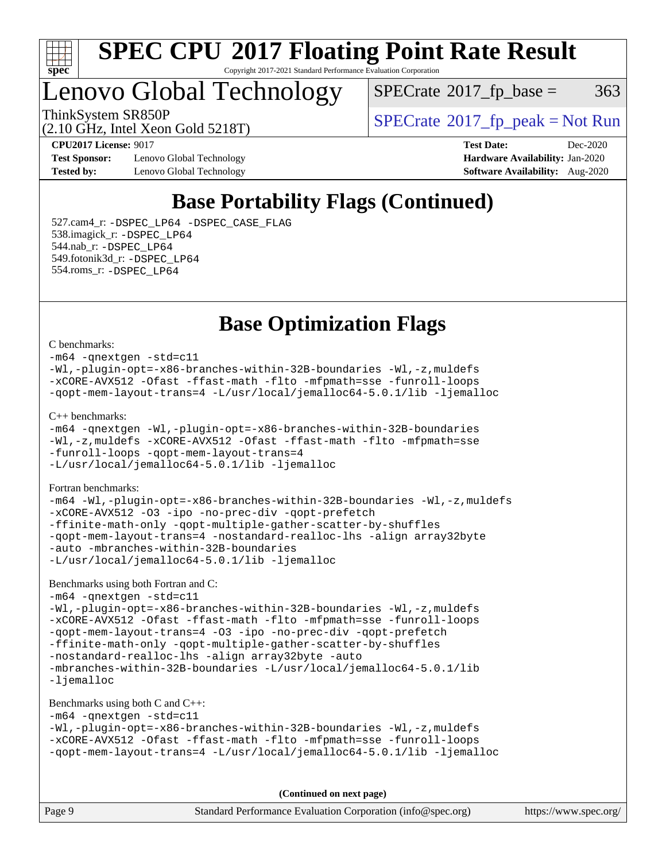

### Lenovo Global Technology

(2.10 GHz, Intel Xeon Gold 5218T)

 $SPECTate$ <sup>®</sup>[2017\\_fp\\_base =](http://www.spec.org/auto/cpu2017/Docs/result-fields.html#SPECrate2017fpbase) 363

ThinkSystem SR850P<br>  $\begin{array}{c}\n\text{SPECrate} \textcirc 2017 \text{ fp } peak = Not Run\n\end{array}$  $\begin{array}{c}\n\text{SPECrate} \textcirc 2017 \text{ fp } peak = Not Run\n\end{array}$  $\begin{array}{c}\n\text{SPECrate} \textcirc 2017 \text{ fp } peak = Not Run\n\end{array}$ 

**[Test Sponsor:](http://www.spec.org/auto/cpu2017/Docs/result-fields.html#TestSponsor)** Lenovo Global Technology **[Hardware Availability:](http://www.spec.org/auto/cpu2017/Docs/result-fields.html#HardwareAvailability)** Jan-2020 **[Tested by:](http://www.spec.org/auto/cpu2017/Docs/result-fields.html#Testedby)** Lenovo Global Technology **[Software Availability:](http://www.spec.org/auto/cpu2017/Docs/result-fields.html#SoftwareAvailability)** Aug-2020

**[CPU2017 License:](http://www.spec.org/auto/cpu2017/Docs/result-fields.html#CPU2017License)** 9017 **[Test Date:](http://www.spec.org/auto/cpu2017/Docs/result-fields.html#TestDate)** Dec-2020

### **[Base Portability Flags \(Continued\)](http://www.spec.org/auto/cpu2017/Docs/result-fields.html#BasePortabilityFlags)**

 527.cam4\_r: [-DSPEC\\_LP64](http://www.spec.org/cpu2017/results/res2021q1/cpu2017-20210104-24670.flags.html#suite_basePORTABILITY527_cam4_r_DSPEC_LP64) [-DSPEC\\_CASE\\_FLAG](http://www.spec.org/cpu2017/results/res2021q1/cpu2017-20210104-24670.flags.html#b527.cam4_r_baseCPORTABILITY_DSPEC_CASE_FLAG) 538.imagick\_r: [-DSPEC\\_LP64](http://www.spec.org/cpu2017/results/res2021q1/cpu2017-20210104-24670.flags.html#suite_basePORTABILITY538_imagick_r_DSPEC_LP64) 544.nab\_r: [-DSPEC\\_LP64](http://www.spec.org/cpu2017/results/res2021q1/cpu2017-20210104-24670.flags.html#suite_basePORTABILITY544_nab_r_DSPEC_LP64) 549.fotonik3d\_r: [-DSPEC\\_LP64](http://www.spec.org/cpu2017/results/res2021q1/cpu2017-20210104-24670.flags.html#suite_basePORTABILITY549_fotonik3d_r_DSPEC_LP64) 554.roms\_r: [-DSPEC\\_LP64](http://www.spec.org/cpu2017/results/res2021q1/cpu2017-20210104-24670.flags.html#suite_basePORTABILITY554_roms_r_DSPEC_LP64)

### **[Base Optimization Flags](http://www.spec.org/auto/cpu2017/Docs/result-fields.html#BaseOptimizationFlags)**

#### [C benchmarks](http://www.spec.org/auto/cpu2017/Docs/result-fields.html#Cbenchmarks):

[-m64](http://www.spec.org/cpu2017/results/res2021q1/cpu2017-20210104-24670.flags.html#user_CCbase_m64-icc) [-qnextgen](http://www.spec.org/cpu2017/results/res2021q1/cpu2017-20210104-24670.flags.html#user_CCbase_f-qnextgen) [-std=c11](http://www.spec.org/cpu2017/results/res2021q1/cpu2017-20210104-24670.flags.html#user_CCbase_std-icc-std_0e1c27790398a4642dfca32ffe6c27b5796f9c2d2676156f2e42c9c44eaad0c049b1cdb667a270c34d979996257aeb8fc440bfb01818dbc9357bd9d174cb8524) [-Wl,-plugin-opt=-x86-branches-within-32B-boundaries](http://www.spec.org/cpu2017/results/res2021q1/cpu2017-20210104-24670.flags.html#user_CCbase_f-x86-branches-within-32B-boundaries_0098b4e4317ae60947b7b728078a624952a08ac37a3c797dfb4ffeb399e0c61a9dd0f2f44ce917e9361fb9076ccb15e7824594512dd315205382d84209e912f3) [-Wl,-z,muldefs](http://www.spec.org/cpu2017/results/res2021q1/cpu2017-20210104-24670.flags.html#user_CCbase_link_force_multiple1_b4cbdb97b34bdee9ceefcfe54f4c8ea74255f0b02a4b23e853cdb0e18eb4525ac79b5a88067c842dd0ee6996c24547a27a4b99331201badda8798ef8a743f577) [-xCORE-AVX512](http://www.spec.org/cpu2017/results/res2021q1/cpu2017-20210104-24670.flags.html#user_CCbase_f-xCORE-AVX512) [-Ofast](http://www.spec.org/cpu2017/results/res2021q1/cpu2017-20210104-24670.flags.html#user_CCbase_f-Ofast) [-ffast-math](http://www.spec.org/cpu2017/results/res2021q1/cpu2017-20210104-24670.flags.html#user_CCbase_f-ffast-math) [-flto](http://www.spec.org/cpu2017/results/res2021q1/cpu2017-20210104-24670.flags.html#user_CCbase_f-flto) [-mfpmath=sse](http://www.spec.org/cpu2017/results/res2021q1/cpu2017-20210104-24670.flags.html#user_CCbase_f-mfpmath_70eb8fac26bde974f8ab713bc9086c5621c0b8d2f6c86f38af0bd7062540daf19db5f3a066d8c6684be05d84c9b6322eb3b5be6619d967835195b93d6c02afa1) [-funroll-loops](http://www.spec.org/cpu2017/results/res2021q1/cpu2017-20210104-24670.flags.html#user_CCbase_f-funroll-loops) [-qopt-mem-layout-trans=4](http://www.spec.org/cpu2017/results/res2021q1/cpu2017-20210104-24670.flags.html#user_CCbase_f-qopt-mem-layout-trans_fa39e755916c150a61361b7846f310bcdf6f04e385ef281cadf3647acec3f0ae266d1a1d22d972a7087a248fd4e6ca390a3634700869573d231a252c784941a8) [-L/usr/local/jemalloc64-5.0.1/lib](http://www.spec.org/cpu2017/results/res2021q1/cpu2017-20210104-24670.flags.html#user_CCbase_jemalloc_link_path64_1_cc289568b1a6c0fd3b62c91b824c27fcb5af5e8098e6ad028160d21144ef1b8aef3170d2acf0bee98a8da324cfe4f67d0a3d0c4cc4673d993d694dc2a0df248b) [-ljemalloc](http://www.spec.org/cpu2017/results/res2021q1/cpu2017-20210104-24670.flags.html#user_CCbase_jemalloc_link_lib_d1249b907c500fa1c0672f44f562e3d0f79738ae9e3c4a9c376d49f265a04b9c99b167ecedbf6711b3085be911c67ff61f150a17b3472be731631ba4d0471706) [C++ benchmarks:](http://www.spec.org/auto/cpu2017/Docs/result-fields.html#CXXbenchmarks) [-m64](http://www.spec.org/cpu2017/results/res2021q1/cpu2017-20210104-24670.flags.html#user_CXXbase_m64-icc) [-qnextgen](http://www.spec.org/cpu2017/results/res2021q1/cpu2017-20210104-24670.flags.html#user_CXXbase_f-qnextgen) [-Wl,-plugin-opt=-x86-branches-within-32B-boundaries](http://www.spec.org/cpu2017/results/res2021q1/cpu2017-20210104-24670.flags.html#user_CXXbase_f-x86-branches-within-32B-boundaries_0098b4e4317ae60947b7b728078a624952a08ac37a3c797dfb4ffeb399e0c61a9dd0f2f44ce917e9361fb9076ccb15e7824594512dd315205382d84209e912f3) [-Wl,-z,muldefs](http://www.spec.org/cpu2017/results/res2021q1/cpu2017-20210104-24670.flags.html#user_CXXbase_link_force_multiple1_b4cbdb97b34bdee9ceefcfe54f4c8ea74255f0b02a4b23e853cdb0e18eb4525ac79b5a88067c842dd0ee6996c24547a27a4b99331201badda8798ef8a743f577) [-xCORE-AVX512](http://www.spec.org/cpu2017/results/res2021q1/cpu2017-20210104-24670.flags.html#user_CXXbase_f-xCORE-AVX512) [-Ofast](http://www.spec.org/cpu2017/results/res2021q1/cpu2017-20210104-24670.flags.html#user_CXXbase_f-Ofast) [-ffast-math](http://www.spec.org/cpu2017/results/res2021q1/cpu2017-20210104-24670.flags.html#user_CXXbase_f-ffast-math) [-flto](http://www.spec.org/cpu2017/results/res2021q1/cpu2017-20210104-24670.flags.html#user_CXXbase_f-flto) [-mfpmath=sse](http://www.spec.org/cpu2017/results/res2021q1/cpu2017-20210104-24670.flags.html#user_CXXbase_f-mfpmath_70eb8fac26bde974f8ab713bc9086c5621c0b8d2f6c86f38af0bd7062540daf19db5f3a066d8c6684be05d84c9b6322eb3b5be6619d967835195b93d6c02afa1) [-funroll-loops](http://www.spec.org/cpu2017/results/res2021q1/cpu2017-20210104-24670.flags.html#user_CXXbase_f-funroll-loops) [-qopt-mem-layout-trans=4](http://www.spec.org/cpu2017/results/res2021q1/cpu2017-20210104-24670.flags.html#user_CXXbase_f-qopt-mem-layout-trans_fa39e755916c150a61361b7846f310bcdf6f04e385ef281cadf3647acec3f0ae266d1a1d22d972a7087a248fd4e6ca390a3634700869573d231a252c784941a8) [-L/usr/local/jemalloc64-5.0.1/lib](http://www.spec.org/cpu2017/results/res2021q1/cpu2017-20210104-24670.flags.html#user_CXXbase_jemalloc_link_path64_1_cc289568b1a6c0fd3b62c91b824c27fcb5af5e8098e6ad028160d21144ef1b8aef3170d2acf0bee98a8da324cfe4f67d0a3d0c4cc4673d993d694dc2a0df248b) [-ljemalloc](http://www.spec.org/cpu2017/results/res2021q1/cpu2017-20210104-24670.flags.html#user_CXXbase_jemalloc_link_lib_d1249b907c500fa1c0672f44f562e3d0f79738ae9e3c4a9c376d49f265a04b9c99b167ecedbf6711b3085be911c67ff61f150a17b3472be731631ba4d0471706) [Fortran benchmarks](http://www.spec.org/auto/cpu2017/Docs/result-fields.html#Fortranbenchmarks): [-m64](http://www.spec.org/cpu2017/results/res2021q1/cpu2017-20210104-24670.flags.html#user_FCbase_m64-icc) [-Wl,-plugin-opt=-x86-branches-within-32B-boundaries](http://www.spec.org/cpu2017/results/res2021q1/cpu2017-20210104-24670.flags.html#user_FCbase_f-x86-branches-within-32B-boundaries_0098b4e4317ae60947b7b728078a624952a08ac37a3c797dfb4ffeb399e0c61a9dd0f2f44ce917e9361fb9076ccb15e7824594512dd315205382d84209e912f3) [-Wl,-z,muldefs](http://www.spec.org/cpu2017/results/res2021q1/cpu2017-20210104-24670.flags.html#user_FCbase_link_force_multiple1_b4cbdb97b34bdee9ceefcfe54f4c8ea74255f0b02a4b23e853cdb0e18eb4525ac79b5a88067c842dd0ee6996c24547a27a4b99331201badda8798ef8a743f577) [-xCORE-AVX512](http://www.spec.org/cpu2017/results/res2021q1/cpu2017-20210104-24670.flags.html#user_FCbase_f-xCORE-AVX512) [-O3](http://www.spec.org/cpu2017/results/res2021q1/cpu2017-20210104-24670.flags.html#user_FCbase_f-O3) [-ipo](http://www.spec.org/cpu2017/results/res2021q1/cpu2017-20210104-24670.flags.html#user_FCbase_f-ipo) [-no-prec-div](http://www.spec.org/cpu2017/results/res2021q1/cpu2017-20210104-24670.flags.html#user_FCbase_f-no-prec-div) [-qopt-prefetch](http://www.spec.org/cpu2017/results/res2021q1/cpu2017-20210104-24670.flags.html#user_FCbase_f-qopt-prefetch) [-ffinite-math-only](http://www.spec.org/cpu2017/results/res2021q1/cpu2017-20210104-24670.flags.html#user_FCbase_f_finite_math_only_cb91587bd2077682c4b38af759c288ed7c732db004271a9512da14a4f8007909a5f1427ecbf1a0fb78ff2a814402c6114ac565ca162485bbcae155b5e4258871) [-qopt-multiple-gather-scatter-by-shuffles](http://www.spec.org/cpu2017/results/res2021q1/cpu2017-20210104-24670.flags.html#user_FCbase_f-qopt-multiple-gather-scatter-by-shuffles) [-qopt-mem-layout-trans=4](http://www.spec.org/cpu2017/results/res2021q1/cpu2017-20210104-24670.flags.html#user_FCbase_f-qopt-mem-layout-trans_fa39e755916c150a61361b7846f310bcdf6f04e385ef281cadf3647acec3f0ae266d1a1d22d972a7087a248fd4e6ca390a3634700869573d231a252c784941a8) [-nostandard-realloc-lhs](http://www.spec.org/cpu2017/results/res2021q1/cpu2017-20210104-24670.flags.html#user_FCbase_f_2003_std_realloc_82b4557e90729c0f113870c07e44d33d6f5a304b4f63d4c15d2d0f1fab99f5daaed73bdb9275d9ae411527f28b936061aa8b9c8f2d63842963b95c9dd6426b8a) [-align array32byte](http://www.spec.org/cpu2017/results/res2021q1/cpu2017-20210104-24670.flags.html#user_FCbase_align_array32byte_b982fe038af199962ba9a80c053b8342c548c85b40b8e86eb3cc33dee0d7986a4af373ac2d51c3f7cf710a18d62fdce2948f201cd044323541f22fc0fffc51b6) [-auto](http://www.spec.org/cpu2017/results/res2021q1/cpu2017-20210104-24670.flags.html#user_FCbase_f-auto) [-mbranches-within-32B-boundaries](http://www.spec.org/cpu2017/results/res2021q1/cpu2017-20210104-24670.flags.html#user_FCbase_f-mbranches-within-32B-boundaries) [-L/usr/local/jemalloc64-5.0.1/lib](http://www.spec.org/cpu2017/results/res2021q1/cpu2017-20210104-24670.flags.html#user_FCbase_jemalloc_link_path64_1_cc289568b1a6c0fd3b62c91b824c27fcb5af5e8098e6ad028160d21144ef1b8aef3170d2acf0bee98a8da324cfe4f67d0a3d0c4cc4673d993d694dc2a0df248b) [-ljemalloc](http://www.spec.org/cpu2017/results/res2021q1/cpu2017-20210104-24670.flags.html#user_FCbase_jemalloc_link_lib_d1249b907c500fa1c0672f44f562e3d0f79738ae9e3c4a9c376d49f265a04b9c99b167ecedbf6711b3085be911c67ff61f150a17b3472be731631ba4d0471706)

[Benchmarks using both Fortran and C](http://www.spec.org/auto/cpu2017/Docs/result-fields.html#BenchmarksusingbothFortranandC):

[-m64](http://www.spec.org/cpu2017/results/res2021q1/cpu2017-20210104-24670.flags.html#user_CC_FCbase_m64-icc) [-qnextgen](http://www.spec.org/cpu2017/results/res2021q1/cpu2017-20210104-24670.flags.html#user_CC_FCbase_f-qnextgen) [-std=c11](http://www.spec.org/cpu2017/results/res2021q1/cpu2017-20210104-24670.flags.html#user_CC_FCbase_std-icc-std_0e1c27790398a4642dfca32ffe6c27b5796f9c2d2676156f2e42c9c44eaad0c049b1cdb667a270c34d979996257aeb8fc440bfb01818dbc9357bd9d174cb8524) [-Wl,-plugin-opt=-x86-branches-within-32B-boundaries](http://www.spec.org/cpu2017/results/res2021q1/cpu2017-20210104-24670.flags.html#user_CC_FCbase_f-x86-branches-within-32B-boundaries_0098b4e4317ae60947b7b728078a624952a08ac37a3c797dfb4ffeb399e0c61a9dd0f2f44ce917e9361fb9076ccb15e7824594512dd315205382d84209e912f3) [-Wl,-z,muldefs](http://www.spec.org/cpu2017/results/res2021q1/cpu2017-20210104-24670.flags.html#user_CC_FCbase_link_force_multiple1_b4cbdb97b34bdee9ceefcfe54f4c8ea74255f0b02a4b23e853cdb0e18eb4525ac79b5a88067c842dd0ee6996c24547a27a4b99331201badda8798ef8a743f577) [-xCORE-AVX512](http://www.spec.org/cpu2017/results/res2021q1/cpu2017-20210104-24670.flags.html#user_CC_FCbase_f-xCORE-AVX512) [-Ofast](http://www.spec.org/cpu2017/results/res2021q1/cpu2017-20210104-24670.flags.html#user_CC_FCbase_f-Ofast) [-ffast-math](http://www.spec.org/cpu2017/results/res2021q1/cpu2017-20210104-24670.flags.html#user_CC_FCbase_f-ffast-math) [-flto](http://www.spec.org/cpu2017/results/res2021q1/cpu2017-20210104-24670.flags.html#user_CC_FCbase_f-flto) [-mfpmath=sse](http://www.spec.org/cpu2017/results/res2021q1/cpu2017-20210104-24670.flags.html#user_CC_FCbase_f-mfpmath_70eb8fac26bde974f8ab713bc9086c5621c0b8d2f6c86f38af0bd7062540daf19db5f3a066d8c6684be05d84c9b6322eb3b5be6619d967835195b93d6c02afa1) [-funroll-loops](http://www.spec.org/cpu2017/results/res2021q1/cpu2017-20210104-24670.flags.html#user_CC_FCbase_f-funroll-loops) [-qopt-mem-layout-trans=4](http://www.spec.org/cpu2017/results/res2021q1/cpu2017-20210104-24670.flags.html#user_CC_FCbase_f-qopt-mem-layout-trans_fa39e755916c150a61361b7846f310bcdf6f04e385ef281cadf3647acec3f0ae266d1a1d22d972a7087a248fd4e6ca390a3634700869573d231a252c784941a8) [-O3](http://www.spec.org/cpu2017/results/res2021q1/cpu2017-20210104-24670.flags.html#user_CC_FCbase_f-O3) [-ipo](http://www.spec.org/cpu2017/results/res2021q1/cpu2017-20210104-24670.flags.html#user_CC_FCbase_f-ipo) [-no-prec-div](http://www.spec.org/cpu2017/results/res2021q1/cpu2017-20210104-24670.flags.html#user_CC_FCbase_f-no-prec-div) [-qopt-prefetch](http://www.spec.org/cpu2017/results/res2021q1/cpu2017-20210104-24670.flags.html#user_CC_FCbase_f-qopt-prefetch) [-ffinite-math-only](http://www.spec.org/cpu2017/results/res2021q1/cpu2017-20210104-24670.flags.html#user_CC_FCbase_f_finite_math_only_cb91587bd2077682c4b38af759c288ed7c732db004271a9512da14a4f8007909a5f1427ecbf1a0fb78ff2a814402c6114ac565ca162485bbcae155b5e4258871) [-qopt-multiple-gather-scatter-by-shuffles](http://www.spec.org/cpu2017/results/res2021q1/cpu2017-20210104-24670.flags.html#user_CC_FCbase_f-qopt-multiple-gather-scatter-by-shuffles) [-nostandard-realloc-lhs](http://www.spec.org/cpu2017/results/res2021q1/cpu2017-20210104-24670.flags.html#user_CC_FCbase_f_2003_std_realloc_82b4557e90729c0f113870c07e44d33d6f5a304b4f63d4c15d2d0f1fab99f5daaed73bdb9275d9ae411527f28b936061aa8b9c8f2d63842963b95c9dd6426b8a) [-align array32byte](http://www.spec.org/cpu2017/results/res2021q1/cpu2017-20210104-24670.flags.html#user_CC_FCbase_align_array32byte_b982fe038af199962ba9a80c053b8342c548c85b40b8e86eb3cc33dee0d7986a4af373ac2d51c3f7cf710a18d62fdce2948f201cd044323541f22fc0fffc51b6) [-auto](http://www.spec.org/cpu2017/results/res2021q1/cpu2017-20210104-24670.flags.html#user_CC_FCbase_f-auto) [-mbranches-within-32B-boundaries](http://www.spec.org/cpu2017/results/res2021q1/cpu2017-20210104-24670.flags.html#user_CC_FCbase_f-mbranches-within-32B-boundaries) [-L/usr/local/jemalloc64-5.0.1/lib](http://www.spec.org/cpu2017/results/res2021q1/cpu2017-20210104-24670.flags.html#user_CC_FCbase_jemalloc_link_path64_1_cc289568b1a6c0fd3b62c91b824c27fcb5af5e8098e6ad028160d21144ef1b8aef3170d2acf0bee98a8da324cfe4f67d0a3d0c4cc4673d993d694dc2a0df248b) [-ljemalloc](http://www.spec.org/cpu2017/results/res2021q1/cpu2017-20210104-24670.flags.html#user_CC_FCbase_jemalloc_link_lib_d1249b907c500fa1c0672f44f562e3d0f79738ae9e3c4a9c376d49f265a04b9c99b167ecedbf6711b3085be911c67ff61f150a17b3472be731631ba4d0471706)

#### [Benchmarks using both C and C++](http://www.spec.org/auto/cpu2017/Docs/result-fields.html#BenchmarksusingbothCandCXX):

```
-m64 -qnextgen -std=c11
-Wl,-plugin-opt=-x86-branches-within-32B-boundaries -Wl,-z,muldefs
-xCORE-AVX512 -Ofast -ffast-math -flto -mfpmath=sse -funroll-loops
-qopt-mem-layout-trans=4 -L/usr/local/jemalloc64-5.0.1/lib -ljemalloc
```
**(Continued on next page)**